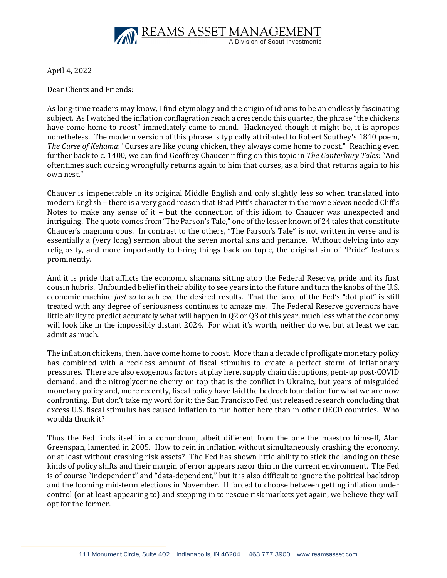

April 4, 2022

Dear Clients and Friends:

As long-time readers may know, I find etymology and the origin of idioms to be an endlessly fascinating subject. As I watched the inflation conflagration reach a crescendo this quarter, the phrase "the chickens have come home to roost" immediately came to mind. Hackneyed though it might be, it is apropos nonetheless. The modern version of this phrase is typically attributed to Robert Southey's 1810 poem, *The Curse of Kehama*: "Curses are like young chicken, they always come home to roost." Reaching even further back to c. 1400, we can find Geoffrey Chaucer riffing on this topic in *The Canterbury Tales*: "And oftentimes such cursing wrongfully returns again to him that curses, as a bird that returns again to his own nest."

Chaucer is impenetrable in its original Middle English and only slightly less so when translated into modern English – there is a very good reason that Brad Pitt's character in the movie *Seven* needed Cliff's Notes to make any sense of it – but the connection of this idiom to Chaucer was unexpected and intriguing. The quote comes from "The Parson's Tale," one of the lesser known of 24 tales that constitute Chaucer's magnum opus. In contrast to the others, "The Parson's Tale" is not written in verse and is essentially a (very long) sermon about the seven mortal sins and penance. Without delving into any religiosity, and more importantly to bring things back on topic, the original sin of "Pride" features prominently.

And it is pride that afflicts the economic shamans sitting atop the Federal Reserve, pride and its first cousin hubris. Unfounded belief in their ability to see years into the future and turn the knobs of the U.S. economic machine *just so* to achieve the desired results. That the farce of the Fed's "dot plot" is still treated with any degree of seriousness continues to amaze me. The Federal Reserve governors have little ability to predict accurately what will happen in Q2 or Q3 of this year, much less what the economy will look like in the impossibly distant 2024. For what it's worth, neither do we, but at least we can admit as much.

The inflation chickens, then, have come home to roost. More than a decade of profligate monetary policy has combined with a reckless amount of fiscal stimulus to create a perfect storm of inflationary pressures. There are also exogenous factors at play here, supply chain disruptions, pent-up post-COVID demand, and the nitroglycerine cherry on top that is the conflict in Ukraine, but years of misguided monetary policy and, more recently, fiscal policy have laid the bedrock foundation for what we are now confronting. But don't take my word for it; the San Francisco Fed just released research concluding that excess U.S. fiscal stimulus has caused inflation to run hotter here than in other OECD countries. Who woulda thunk it?

Thus the Fed finds itself in a conundrum, albeit different from the one the maestro himself, Alan Greenspan, lamented in 2005. How to rein in inflation without simultaneously crashing the economy, or at least without crashing risk assets? The Fed has shown little ability to stick the landing on these kinds of policy shifts and their margin of error appears razor thin in the current environment. The Fed is of course "independent" and "data-dependent," but it is also difficult to ignore the political backdrop and the looming mid-term elections in November. If forced to choose between getting inflation under control (or at least appearing to) and stepping in to rescue risk markets yet again, we believe they will opt for the former.